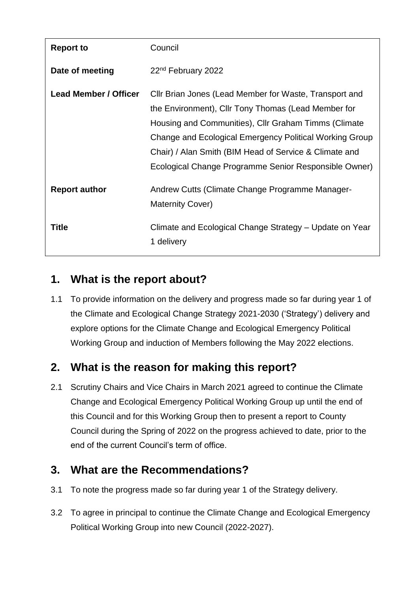| <b>Report to</b>             | Council                                                                                                                                                                                                                                                                                                                                             |
|------------------------------|-----------------------------------------------------------------------------------------------------------------------------------------------------------------------------------------------------------------------------------------------------------------------------------------------------------------------------------------------------|
| Date of meeting              | 22 <sup>nd</sup> February 2022                                                                                                                                                                                                                                                                                                                      |
| <b>Lead Member / Officer</b> | Cllr Brian Jones (Lead Member for Waste, Transport and<br>the Environment), Cllr Tony Thomas (Lead Member for<br>Housing and Communities), Cllr Graham Timms (Climate<br>Change and Ecological Emergency Political Working Group<br>Chair) / Alan Smith (BIM Head of Service & Climate and<br>Ecological Change Programme Senior Responsible Owner) |
| <b>Report author</b>         | Andrew Cutts (Climate Change Programme Manager-<br><b>Maternity Cover)</b>                                                                                                                                                                                                                                                                          |
| Title                        | Climate and Ecological Change Strategy – Update on Year<br>1 delivery                                                                                                                                                                                                                                                                               |

# **1. What is the report about?**

1.1 To provide information on the delivery and progress made so far during year 1 of the Climate and Ecological Change Strategy 2021-2030 ('Strategy') delivery and explore options for the Climate Change and Ecological Emergency Political Working Group and induction of Members following the May 2022 elections.

# **2. What is the reason for making this report?**

2.1 Scrutiny Chairs and Vice Chairs in March 2021 agreed to continue the Climate Change and Ecological Emergency Political Working Group up until the end of this Council and for this Working Group then to present a report to County Council during the Spring of 2022 on the progress achieved to date, prior to the end of the current Council's term of office.

# **3. What are the Recommendations?**

- 3.1 To note the progress made so far during year 1 of the Strategy delivery.
- 3.2 To agree in principal to continue the Climate Change and Ecological Emergency Political Working Group into new Council (2022-2027).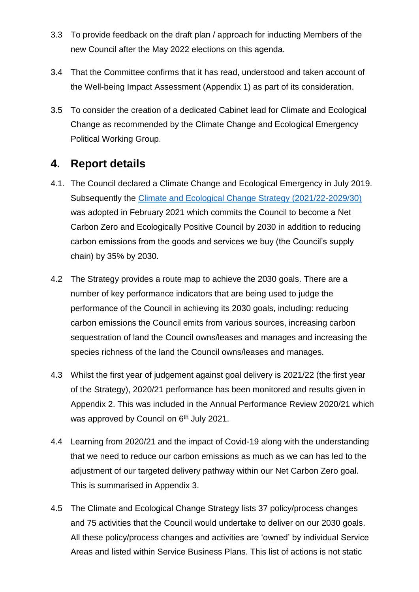- 3.3 To provide feedback on the draft plan / approach for inducting Members of the new Council after the May 2022 elections on this agenda.
- 3.4 That the Committee confirms that it has read, understood and taken account of the Well-being Impact Assessment (Appendix 1) as part of its consideration.
- 3.5 To consider the creation of a dedicated Cabinet lead for Climate and Ecological Change as recommended by the Climate Change and Ecological Emergency Political Working Group.

#### **4. Report details**

- 4.1. The Council declared a Climate Change and Ecological Emergency in July 2019. Subsequently the [Climate and Ecological Change Strategy \(2021/22-2029/30\)](https://www.denbighshire.gov.uk/en/your-council/strategies-plans-and-policies/strategies/climate-and-ecological-change-strategy.aspx) was adopted in February 2021 which commits the Council to become a Net Carbon Zero and Ecologically Positive Council by 2030 in addition to reducing carbon emissions from the goods and services we buy (the Council's supply chain) by 35% by 2030.
- 4.2 The Strategy provides a route map to achieve the 2030 goals. There are a number of key performance indicators that are being used to judge the performance of the Council in achieving its 2030 goals, including: reducing carbon emissions the Council emits from various sources, increasing carbon sequestration of land the Council owns/leases and manages and increasing the species richness of the land the Council owns/leases and manages.
- 4.3 Whilst the first year of judgement against goal delivery is 2021/22 (the first year of the Strategy), 2020/21 performance has been monitored and results given in Appendix 2. This was included in the Annual Performance Review 2020/21 which was approved by Council on 6<sup>th</sup> July 2021.
- 4.4 Learning from 2020/21 and the impact of Covid-19 along with the understanding that we need to reduce our carbon emissions as much as we can has led to the adjustment of our targeted delivery pathway within our Net Carbon Zero goal. This is summarised in Appendix 3.
- 4.5 The Climate and Ecological Change Strategy lists 37 policy/process changes and 75 activities that the Council would undertake to deliver on our 2030 goals. All these policy/process changes and activities are 'owned' by individual Service Areas and listed within Service Business Plans. This list of actions is not static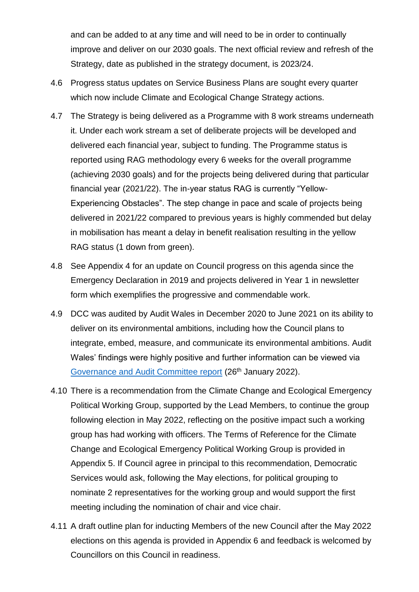and can be added to at any time and will need to be in order to continually improve and deliver on our 2030 goals. The next official review and refresh of the Strategy, date as published in the strategy document, is 2023/24.

- 4.6 Progress status updates on Service Business Plans are sought every quarter which now include Climate and Ecological Change Strategy actions.
- 4.7 The Strategy is being delivered as a Programme with 8 work streams underneath it. Under each work stream a set of deliberate projects will be developed and delivered each financial year, subject to funding. The Programme status is reported using RAG methodology every 6 weeks for the overall programme (achieving 2030 goals) and for the projects being delivered during that particular financial year (2021/22). The in-year status RAG is currently "Yellow-Experiencing Obstacles". The step change in pace and scale of projects being delivered in 2021/22 compared to previous years is highly commended but delay in mobilisation has meant a delay in benefit realisation resulting in the yellow RAG status (1 down from green).
- 4.8 See Appendix 4 for an update on Council progress on this agenda since the Emergency Declaration in 2019 and projects delivered in Year 1 in newsletter form which exemplifies the progressive and commendable work.
- 4.9 DCC was audited by Audit Wales in December 2020 to June 2021 on its ability to deliver on its environmental ambitions, including how the Council plans to integrate, embed, measure, and communicate its environmental ambitions. Audit Wales' findings were highly positive and further information can be viewed via [Governance and Audit Committee report](https://moderngov.denbighshire.gov.uk/ieListDocuments.aspx?CId=130&MId=6490&Ver=4&LLL=0) (26<sup>th</sup> January 2022).
- 4.10 There is a recommendation from the Climate Change and Ecological Emergency Political Working Group, supported by the Lead Members, to continue the group following election in May 2022, reflecting on the positive impact such a working group has had working with officers. The Terms of Reference for the Climate Change and Ecological Emergency Political Working Group is provided in Appendix 5. If Council agree in principal to this recommendation, Democratic Services would ask, following the May elections, for political grouping to nominate 2 representatives for the working group and would support the first meeting including the nomination of chair and vice chair.
- 4.11 A draft outline plan for inducting Members of the new Council after the May 2022 elections on this agenda is provided in Appendix 6 and feedback is welcomed by Councillors on this Council in readiness.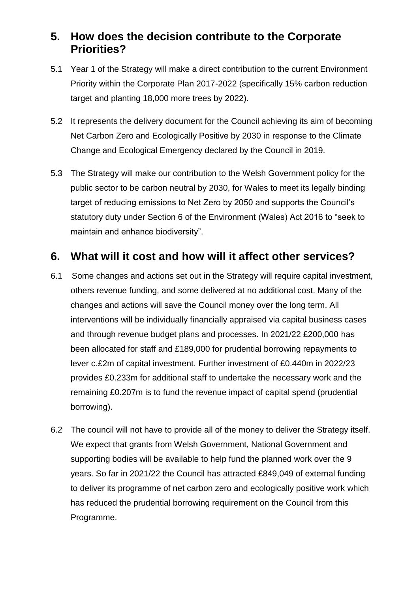#### **5. How does the decision contribute to the Corporate Priorities?**

- 5.1 Year 1 of the Strategy will make a direct contribution to the current Environment Priority within the Corporate Plan 2017-2022 (specifically 15% carbon reduction target and planting 18,000 more trees by 2022).
- 5.2 It represents the delivery document for the Council achieving its aim of becoming Net Carbon Zero and Ecologically Positive by 2030 in response to the Climate Change and Ecological Emergency declared by the Council in 2019.
- 5.3 The Strategy will make our contribution to the Welsh Government policy for the public sector to be carbon neutral by 2030, for Wales to meet its legally binding target of reducing emissions to Net Zero by 2050 and supports the Council's statutory duty under Section 6 of the Environment (Wales) Act 2016 to "seek to maintain and enhance biodiversity".

#### **6. What will it cost and how will it affect other services?**

- 6.1 Some changes and actions set out in the Strategy will require capital investment, others revenue funding, and some delivered at no additional cost. Many of the changes and actions will save the Council money over the long term. All interventions will be individually financially appraised via capital business cases and through revenue budget plans and processes. In 2021/22 £200,000 has been allocated for staff and £189,000 for prudential borrowing repayments to lever c.£2m of capital investment. Further investment of £0.440m in 2022/23 provides £0.233m for additional staff to undertake the necessary work and the remaining £0.207m is to fund the revenue impact of capital spend (prudential borrowing).
- 6.2 The council will not have to provide all of the money to deliver the Strategy itself. We expect that grants from Welsh Government, National Government and supporting bodies will be available to help fund the planned work over the 9 years. So far in 2021/22 the Council has attracted £849,049 of external funding to deliver its programme of net carbon zero and ecologically positive work which has reduced the prudential borrowing requirement on the Council from this Programme.